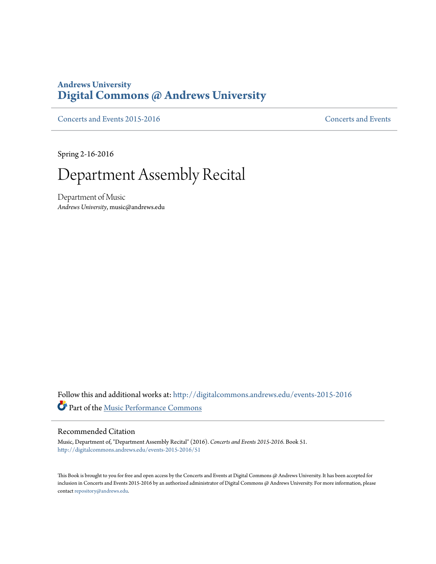## **Andrews University [Digital Commons @ Andrews University](http://digitalcommons.andrews.edu?utm_source=digitalcommons.andrews.edu%2Fevents-2015-2016%2F51&utm_medium=PDF&utm_campaign=PDFCoverPages)**

[Concerts and Events 2015-2016](http://digitalcommons.andrews.edu/events-2015-2016?utm_source=digitalcommons.andrews.edu%2Fevents-2015-2016%2F51&utm_medium=PDF&utm_campaign=PDFCoverPages) [Concerts and Events](http://digitalcommons.andrews.edu/music-events?utm_source=digitalcommons.andrews.edu%2Fevents-2015-2016%2F51&utm_medium=PDF&utm_campaign=PDFCoverPages)

Spring 2-16-2016

## Department Assembly Recital

Department of Music *Andrews University*, music@andrews.edu

Follow this and additional works at: [http://digitalcommons.andrews.edu/events-2015-2016](http://digitalcommons.andrews.edu/events-2015-2016?utm_source=digitalcommons.andrews.edu%2Fevents-2015-2016%2F51&utm_medium=PDF&utm_campaign=PDFCoverPages) Part of the [Music Performance Commons](http://network.bepress.com/hgg/discipline/1128?utm_source=digitalcommons.andrews.edu%2Fevents-2015-2016%2F51&utm_medium=PDF&utm_campaign=PDFCoverPages)

## Recommended Citation

Music, Department of, "Department Assembly Recital" (2016). *Concerts and Events 2015-2016.* Book 51. [http://digitalcommons.andrews.edu/events-2015-2016/51](http://digitalcommons.andrews.edu/events-2015-2016/51?utm_source=digitalcommons.andrews.edu%2Fevents-2015-2016%2F51&utm_medium=PDF&utm_campaign=PDFCoverPages)

This Book is brought to you for free and open access by the Concerts and Events at Digital Commons @ Andrews University. It has been accepted for inclusion in Concerts and Events 2015-2016 by an authorized administrator of Digital Commons @ Andrews University. For more information, please contact [repository@andrews.edu.](mailto:repository@andrews.edu)